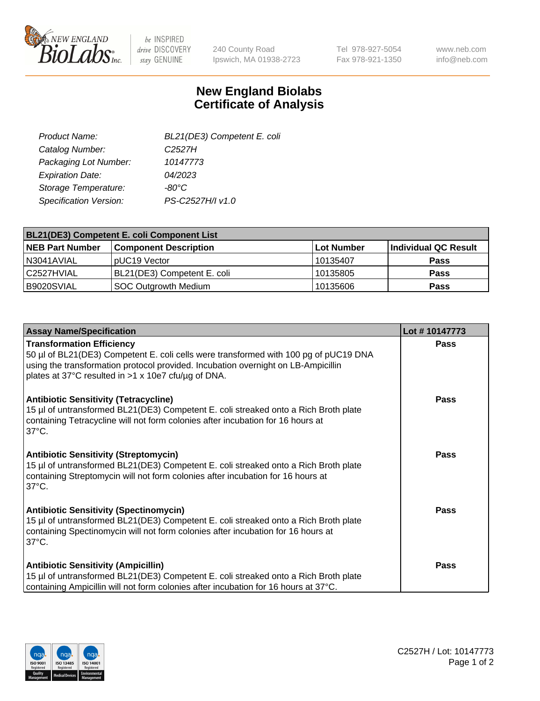

 $be$  INSPIRED drive DISCOVERY stay GENUINE

240 County Road Ipswich, MA 01938-2723 Tel 978-927-5054 Fax 978-921-1350 www.neb.com info@neb.com

## **New England Biolabs Certificate of Analysis**

| BL21(DE3) Competent E. coli |
|-----------------------------|
| C <sub>252</sub> 7H         |
| 10147773                    |
| 04/2023                     |
| $-80^{\circ}$ C             |
| PS-C2527H/I v1.0            |
|                             |

| <b>BL21(DE3) Competent E. coli Component List</b> |                              |            |                      |  |
|---------------------------------------------------|------------------------------|------------|----------------------|--|
| <b>NEB Part Number</b>                            | <b>Component Description</b> | Lot Number | Individual QC Result |  |
| N3041AVIAL                                        | pUC19 Vector                 | 10135407   | <b>Pass</b>          |  |
| C2527HVIAL                                        | BL21(DE3) Competent E. coli  | 10135805   | <b>Pass</b>          |  |
| B9020SVIAL                                        | SOC Outgrowth Medium         | 10135606   | <b>Pass</b>          |  |

| <b>Assay Name/Specification</b>                                                                                                                                                                                                                                      | Lot #10147773 |
|----------------------------------------------------------------------------------------------------------------------------------------------------------------------------------------------------------------------------------------------------------------------|---------------|
| <b>Transformation Efficiency</b><br>50 µl of BL21(DE3) Competent E. coli cells were transformed with 100 pg of pUC19 DNA<br>using the transformation protocol provided. Incubation overnight on LB-Ampicillin<br>plates at 37°C resulted in >1 x 10e7 cfu/µg of DNA. | Pass          |
| <b>Antibiotic Sensitivity (Tetracycline)</b><br>15 µl of untransformed BL21(DE3) Competent E. coli streaked onto a Rich Broth plate<br>containing Tetracycline will not form colonies after incubation for 16 hours at<br>$37^{\circ}$ C.                            | Pass          |
| <b>Antibiotic Sensitivity (Streptomycin)</b><br>15 µl of untransformed BL21(DE3) Competent E. coli streaked onto a Rich Broth plate<br>containing Streptomycin will not form colonies after incubation for 16 hours at<br>$37^{\circ}$ C.                            | Pass          |
| <b>Antibiotic Sensitivity (Spectinomycin)</b><br>15 µl of untransformed BL21(DE3) Competent E. coli streaked onto a Rich Broth plate<br>containing Spectinomycin will not form colonies after incubation for 16 hours at<br>$37^{\circ}$ C.                          | <b>Pass</b>   |
| <b>Antibiotic Sensitivity (Ampicillin)</b><br>15 µl of untransformed BL21(DE3) Competent E. coli streaked onto a Rich Broth plate<br>containing Ampicillin will not form colonies after incubation for 16 hours at 37°C.                                             | Pass          |